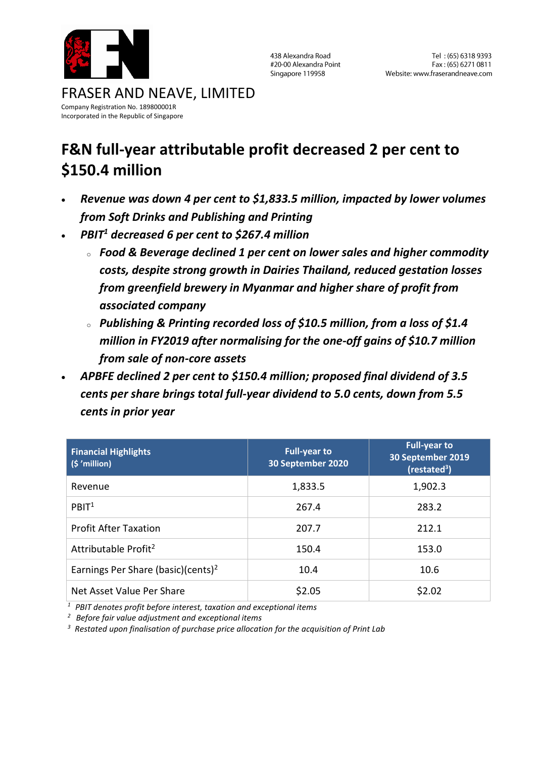

438 Alexandra Road #20-00 Alexandra Point Singapore 119958

#### FRASER AND NEAVE, LIMITED Company Registration No. 189800001R Incorporated in the Republic of Singapore

# **F&N full-year attributable profit decreased 2 per cent to \$150.4 million**

- *Revenue was down 4 per cent to \$1,833.5 million, impacted by lower volumes from Soft Drinks and Publishing and Printing*
- *PBIT<sup>1</sup> decreased 6 per cent to \$267.4 million*
	- <sup>o</sup> *Food & Beverage declined 1 per cent on lower sales and higher commodity costs, despite strong growth in Dairies Thailand, reduced gestation losses from greenfield brewery in Myanmar and higher share of profit from associated company*
	- <sup>o</sup> *Publishing & Printing recorded loss of \$10.5 million, from a loss of \$1.4 million in FY2019 after normalising for the one-off gains of \$10.7 million from sale of non-core assets*
- *APBFE declined 2 per cent to \$150.4 million; proposed final dividend of 3.5 cents per share brings total full-year dividend to 5.0 cents, down from 5.5 cents in prior year*

| <b>Financial Highlights</b><br>$(S'$ million)  | <b>Full-year to</b><br>30 September 2020 | <b>Full-year to</b><br>30 September 2019<br>(restated <sup>3</sup> ) |
|------------------------------------------------|------------------------------------------|----------------------------------------------------------------------|
| Revenue                                        | 1,833.5                                  | 1,902.3                                                              |
| PBIT <sup>1</sup>                              | 267.4                                    | 283.2                                                                |
| <b>Profit After Taxation</b>                   | 207.7                                    | 212.1                                                                |
| Attributable Profit <sup>2</sup>               | 150.4                                    | 153.0                                                                |
| Earnings Per Share (basic)(cents) <sup>2</sup> | 10.4                                     | 10.6                                                                 |
| Net Asset Value Per Share                      | \$2.05                                   | \$2.02                                                               |

*<sup>1</sup> PBIT denotes profit before interest, taxation and exceptional items* 

*<sup>2</sup> Before fair value adjustment and exceptional items*

*<sup>3</sup>Restated upon finalisation of purchase price allocation for the acquisition of Print Lab*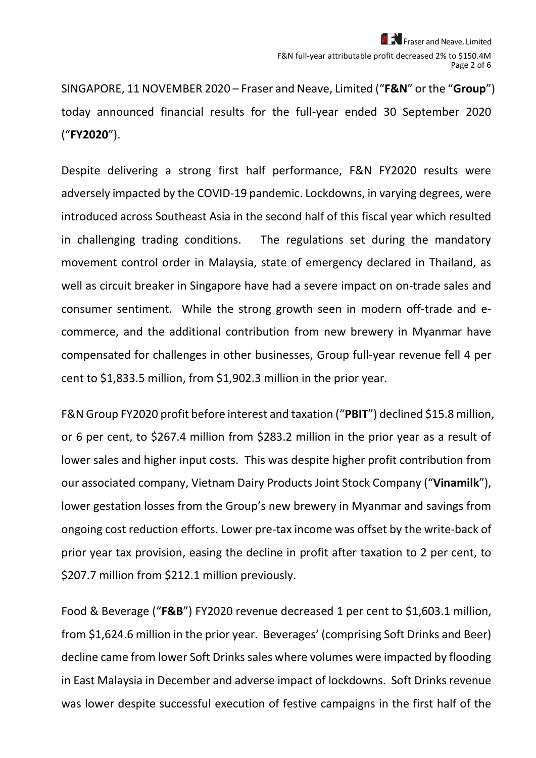SINGAPORE, 11 NOVEMBER 2020 – Fraser and Neave, Limited ("**F&N**" or the "**Group**") today announced financial results for the full-year ended 30 September 2020 ("**FY2020**").

Despite delivering a strong first half performance, F&N FY2020 results were adversely impacted by the COVID-19 pandemic. Lockdowns, in varying degrees, were introduced across Southeast Asia in the second half of this fiscal year which resulted in challenging trading conditions. The regulations set during the mandatory movement control order in Malaysia, state of emergency declared in Thailand, as well as circuit breaker in Singapore have had a severe impact on on-trade sales and consumer sentiment. While the strong growth seen in modern off-trade and ecommerce, and the additional contribution from new brewery in Myanmar have compensated for challenges in other businesses, Group full-year revenue fell 4 per cent to \$1,833.5 million, from \$1,902.3 million in the prior year.

F&N Group FY2020 profit before interest and taxation ("**PBIT**") declined \$15.8 million, or 6 per cent, to \$267.4 million from \$283.2 million in the prior year as a result of lower sales and higher input costs. This was despite higher profit contribution from our associated company, Vietnam Dairy Products Joint Stock Company ("**Vinamilk**"), lower gestation losses from the Group's new brewery in Myanmar and savings from ongoing cost reduction efforts. Lower pre-tax income was offset by the write-back of prior year tax provision, easing the decline in profit after taxation to 2 per cent, to \$207.7 million from \$212.1 million previously.

Food & Beverage ("**F&B**") FY2020 revenue decreased 1 per cent to \$1,603.1 million, from \$1,624.6 million in the prior year. Beverages' (comprising Soft Drinks and Beer) decline came from lower Soft Drinks sales where volumes were impacted by flooding in East Malaysia in December and adverse impact of lockdowns. Soft Drinks revenue was lower despite successful execution of festive campaigns in the first half of the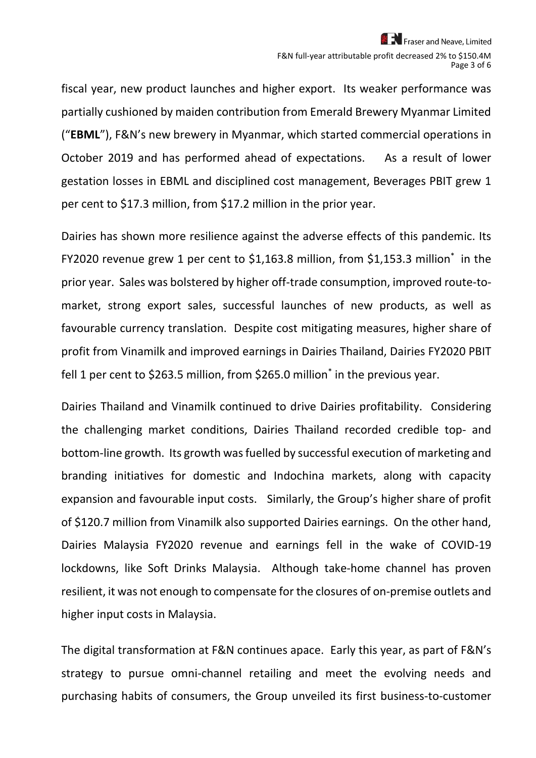fiscal year, new product launches and higher export. Its weaker performance was partially cushioned by maiden contribution from Emerald Brewery Myanmar Limited ("**EBML**"), F&N's new brewery in Myanmar, which started commercial operations in October 2019 and has performed ahead of expectations. As a result of lower gestation losses in EBML and disciplined cost management, Beverages PBIT grew 1 per cent to \$17.3 million, from \$17.2 million in the prior year.

Dairies has shown more resilience against the adverse effects of this pandemic. Its FY2020 revenue grew 1 per cent to \$1,163.8 million, from \$1,153.3 million<sup>\*</sup> in the prior year. Sales was bolstered by higher off-trade consumption, improved route-tomarket, strong export sales, successful launches of new products, as well as favourable currency translation. Despite cost mitigating measures, higher share of profit from Vinamilk and improved earnings in Dairies Thailand, Dairies FY2020 PBIT fell 1 per cent to \$263.5 million, from \$265.0 million<sup>\*</sup> in the previous year.

Dairies Thailand and Vinamilk continued to drive Dairies profitability. Considering the challenging market conditions, Dairies Thailand recorded credible top- and bottom-line growth. Its growth was fuelled by successful execution of marketing and branding initiatives for domestic and Indochina markets, along with capacity expansion and favourable input costs. Similarly, the Group's higher share of profit of \$120.7 million from Vinamilk also supported Dairies earnings. On the other hand, Dairies Malaysia FY2020 revenue and earnings fell in the wake of COVID-19 lockdowns, like Soft Drinks Malaysia. Although take-home channel has proven resilient, it was not enough to compensate for the closures of on-premise outlets and higher input costs in Malaysia.

The digital transformation at F&N continues apace. Early this year, as part of F&N's strategy to pursue omni-channel retailing and meet the evolving needs and purchasing habits of consumers, the Group unveiled its first business-to-customer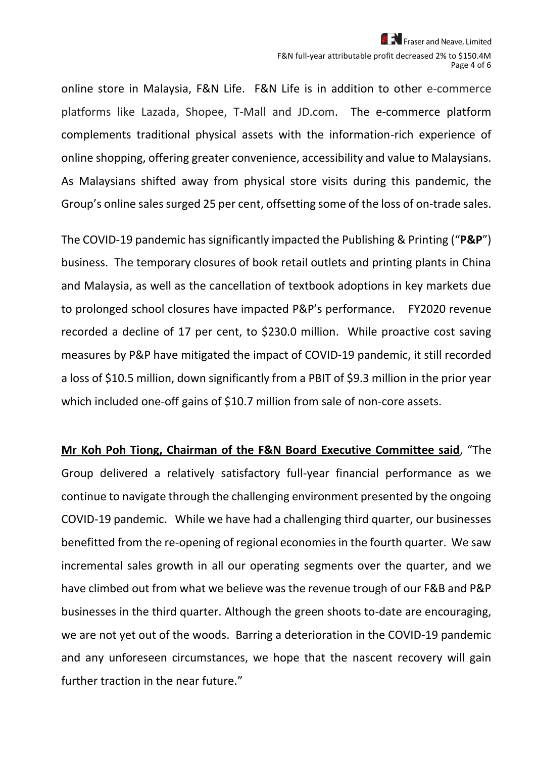online store in Malaysia, F&N Life. F&N Life is in addition to other e-commerce platforms like Lazada, Shopee, T-Mall and JD.com. The e-commerce platform complements traditional physical assets with the information-rich experience of online shopping, offering greater convenience, accessibility and value to Malaysians. As Malaysians shifted away from physical store visits during this pandemic, the Group's online sales surged 25 per cent, offsetting some of the loss of on-trade sales.

The COVID-19 pandemic has significantly impacted the Publishing & Printing ("**P&P**") business. The temporary closures of book retail outlets and printing plants in China and Malaysia, as well as the cancellation of textbook adoptions in key markets due to prolonged school closures have impacted P&P's performance. FY2020 revenue recorded a decline of 17 per cent, to \$230.0 million. While proactive cost saving measures by P&P have mitigated the impact of COVID-19 pandemic, it still recorded a loss of \$10.5 million, down significantly from a PBIT of \$9.3 million in the prior year which included one-off gains of \$10.7 million from sale of non-core assets.

**Mr Koh Poh Tiong, Chairman of the F&N Board Executive Committee said**, "The Group delivered a relatively satisfactory full-year financial performance as we continue to navigate through the challenging environment presented by the ongoing COVID-19 pandemic. While we have had a challenging third quarter, our businesses benefitted from the re-opening of regional economiesin the fourth quarter. We saw incremental sales growth in all our operating segments over the quarter, and we have climbed out from what we believe was the revenue trough of our F&B and P&P businesses in the third quarter. Although the green shoots to-date are encouraging, we are not yet out of the woods. Barring a deterioration in the COVID-19 pandemic and any unforeseen circumstances, we hope that the nascent recovery will gain further traction in the near future."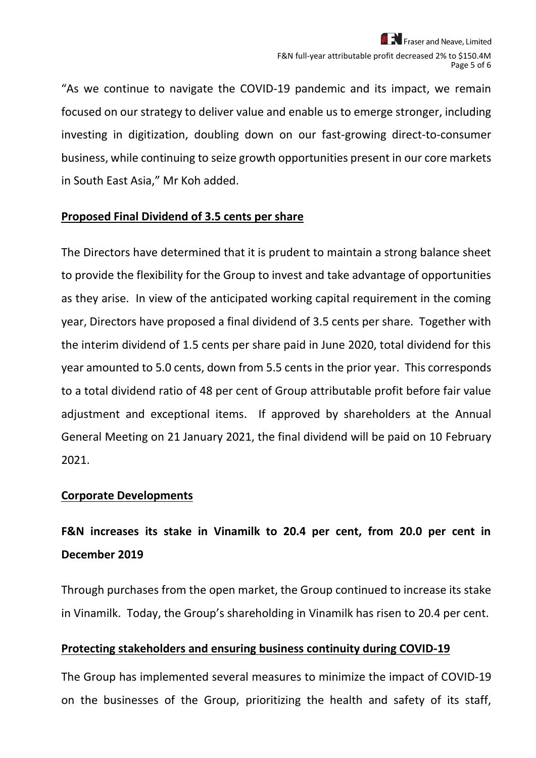"As we continue to navigate the COVID-19 pandemic and its impact, we remain focused on our strategy to deliver value and enable us to emerge stronger, including investing in digitization, doubling down on our fast-growing direct-to-consumer business, while continuing to seize growth opportunities present in our core markets in South East Asia," Mr Koh added.

#### **Proposed Final Dividend of 3.5 cents per share**

The Directors have determined that it is prudent to maintain a strong balance sheet to provide the flexibility for the Group to invest and take advantage of opportunities as they arise. In view of the anticipated working capital requirement in the coming year, Directors have proposed a final dividend of 3.5 cents per share. Together with the interim dividend of 1.5 cents per share paid in June 2020, total dividend for this year amounted to 5.0 cents, down from 5.5 cents in the prior year. This corresponds to a total dividend ratio of 48 per cent of Group attributable profit before fair value adjustment and exceptional items. If approved by shareholders at the Annual General Meeting on 21 January 2021, the final dividend will be paid on 10 February 2021.

#### **Corporate Developments**

## **F&N increases its stake in Vinamilk to 20.4 per cent, from 20.0 per cent in December 2019**

Through purchases from the open market, the Group continued to increase its stake in Vinamilk. Today, the Group's shareholding in Vinamilk has risen to 20.4 per cent.

### **Protecting stakeholders and ensuring business continuity during COVID-19**

The Group has implemented several measures to minimize the impact of COVID-19 on the businesses of the Group, prioritizing the health and safety of its staff,